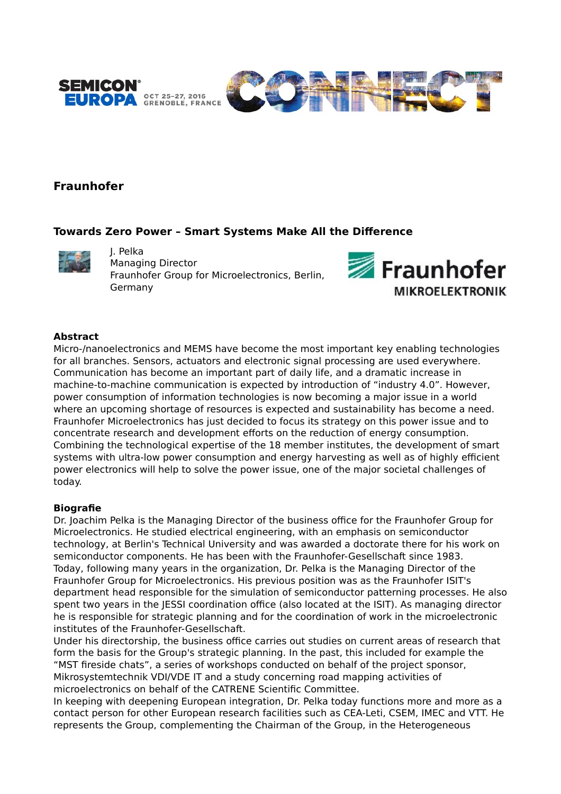

# **Fraunhofer**

## **Towards Zero Power – Smart Systems Make All the Difference**



J. Pelka Managing Director Fraunhofer Group for Microelectronics, Berlin, Germany



### **Abstract**

Micro-/nanoelectronics and MEMS have become the most important key enabling technologies for all branches. Sensors, actuators and electronic signal processing are used everywhere. Communication has become an important part of daily life, and a dramatic increase in machine-to-machine communication is expected by introduction of "industry 4.0". However, power consumption of information technologies is now becoming a major issue in a world where an upcoming shortage of resources is expected and sustainability has become a need. Fraunhofer Microelectronics has just decided to focus its strategy on this power issue and to concentrate research and development efforts on the reduction of energy consumption. Combining the technological expertise of the 18 member institutes, the development of smart systems with ultra-low power consumption and energy harvesting as well as of highly efficient power electronics will help to solve the power issue, one of the major societal challenges of today.

#### **Biografie**

Dr. Joachim Pelka is the Managing Director of the business office for the Fraunhofer Group for Microelectronics. He studied electrical engineering, with an emphasis on semiconductor technology, at Berlin's Technical University and was awarded a doctorate there for his work on semiconductor components. He has been with the Fraunhofer-Gesellschaft since 1983. Today, following many years in the organization, Dr. Pelka is the Managing Director of the Fraunhofer Group for Microelectronics. His previous position was as the Fraunhofer ISIT's department head responsible for the simulation of semiconductor patterning processes. He also spent two years in the JESSI coordination office (also located at the ISIT). As managing director he is responsible for strategic planning and for the coordination of work in the microelectronic institutes of the Fraunhofer-Gesellschaft.

Under his directorship, the business office carries out studies on current areas of research that form the basis for the Group's strategic planning. In the past, this included for example the "MST fireside chats", a series of workshops conducted on behalf of the project sponsor, Mikrosystemtechnik VDI/VDE IT and a study concerning road mapping activities of microelectronics on behalf of the CATRENE Scientific Committee.

In keeping with deepening European integration, Dr. Pelka today functions more and more as a contact person for other European research facilities such as CEA-Leti, CSEM, IMEC and VTT. He represents the Group, complementing the Chairman of the Group, in the Heterogeneous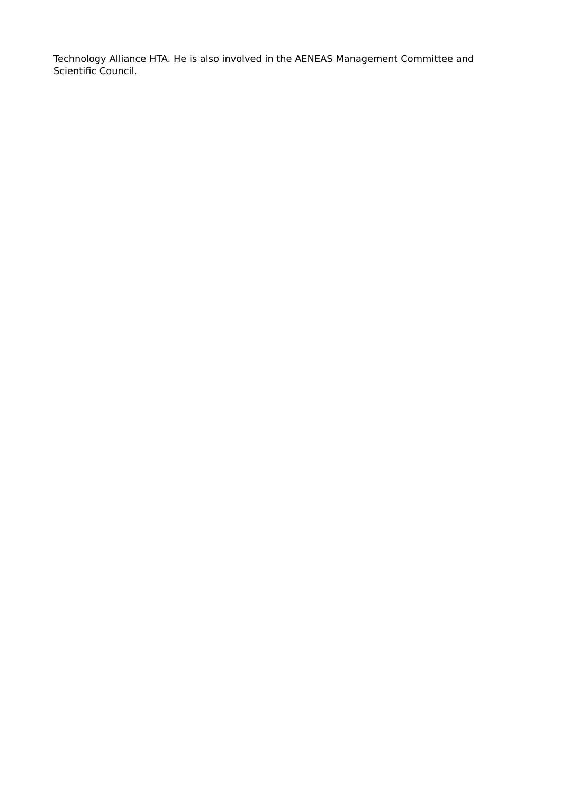Technology Alliance HTA. He is also involved in the AENEAS Management Committee and Scientific Council.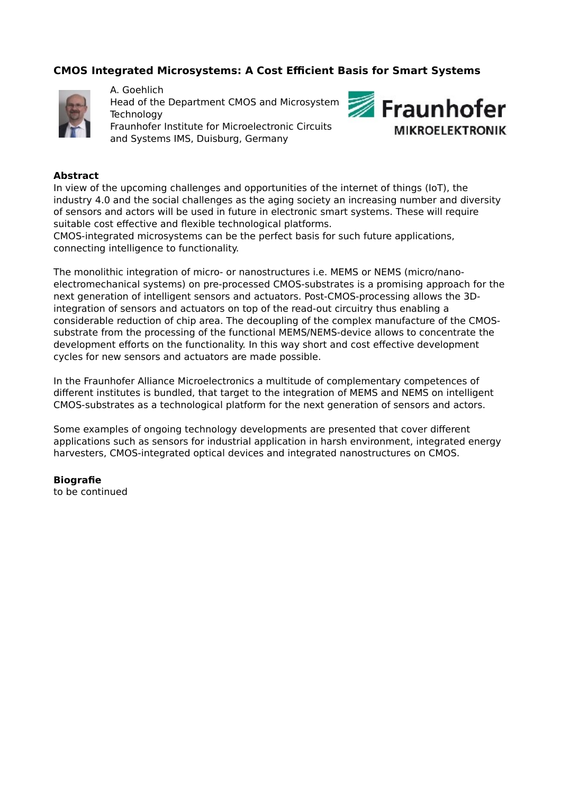# **CMOS Integrated Microsystems: A Cost Efficient Basis for Smart Systems**



A. Goehlich Head of the Department CMOS and Microsystem **Technology** Fraunhofer Institute for Microelectronic Circuits and Systems IMS, Duisburg, Germany



### **Abstract**

In view of the upcoming challenges and opportunities of the internet of things (IoT), the industry 4.0 and the social challenges as the aging society an increasing number and diversity of sensors and actors will be used in future in electronic smart systems. These will require suitable cost effective and flexible technological platforms.

CMOS-integrated microsystems can be the perfect basis for such future applications, connecting intelligence to functionality.

The monolithic integration of micro- or nanostructures i.e. MEMS or NEMS (micro/nanoelectromechanical systems) on pre-processed CMOS-substrates is a promising approach for the next generation of intelligent sensors and actuators. Post-CMOS-processing allows the 3Dintegration of sensors and actuators on top of the read-out circuitry thus enabling a considerable reduction of chip area. The decoupling of the complex manufacture of the CMOSsubstrate from the processing of the functional MEMS/NEMS-device allows to concentrate the development efforts on the functionality. In this way short and cost effective development cycles for new sensors and actuators are made possible.

In the Fraunhofer Alliance Microelectronics a multitude of complementary competences of different institutes is bundled, that target to the integration of MEMS and NEMS on intelligent CMOS-substrates as a technological platform for the next generation of sensors and actors.

Some examples of ongoing technology developments are presented that cover different applications such as sensors for industrial application in harsh environment, integrated energy harvesters, CMOS-integrated optical devices and integrated nanostructures on CMOS.

## **Biografie**

to be continued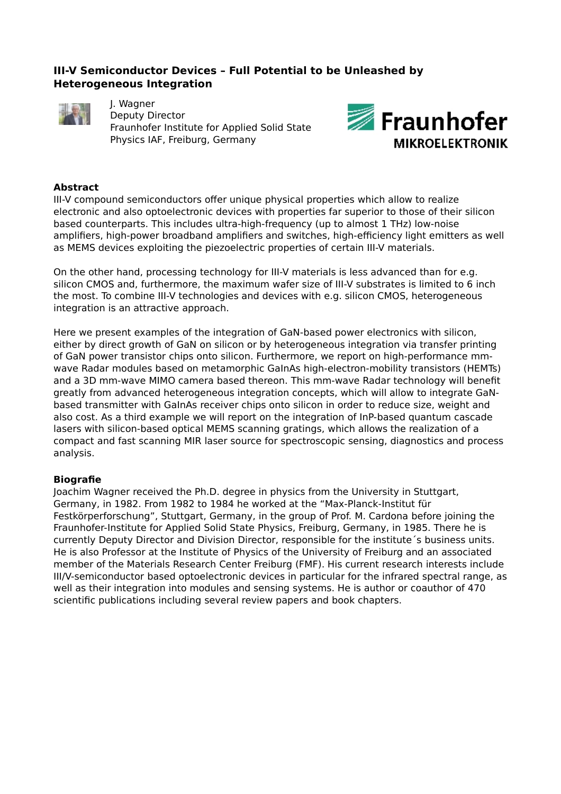# **III-V Semiconductor Devices – Full Potential to be Unleashed by Heterogeneous Integration**



J. Wagner Deputy Director Fraunhofer Institute for Applied Solid State Physics IAF, Freiburg, Germany



## **Abstract**

III-V compound semiconductors offer unique physical properties which allow to realize electronic and also optoelectronic devices with properties far superior to those of their silicon based counterparts. This includes ultra-high-frequency (up to almost 1 THz) low-noise amplifiers, high-power broadband amplifiers and switches, high-efficiency light emitters as well as MEMS devices exploiting the piezoelectric properties of certain III-V materials.

On the other hand, processing technology for III-V materials is less advanced than for e.g. silicon CMOS and, furthermore, the maximum wafer size of III-V substrates is limited to 6 inch the most. To combine III-V technologies and devices with e.g. silicon CMOS, heterogeneous integration is an attractive approach.

Here we present examples of the integration of GaN-based power electronics with silicon, either by direct growth of GaN on silicon or by heterogeneous integration via transfer printing of GaN power transistor chips onto silicon. Furthermore, we report on high-performance mmwave Radar modules based on metamorphic GaInAs high-electron-mobility transistors (HEMTs) and a 3D mm-wave MIMO camera based thereon. This mm-wave Radar technology will benefit greatly from advanced heterogeneous integration concepts, which will allow to integrate GaNbased transmitter with GaInAs receiver chips onto silicon in order to reduce size, weight and also cost. As a third example we will report on the integration of InP-based quantum cascade lasers with silicon-based optical MEMS scanning gratings, which allows the realization of a compact and fast scanning MIR laser source for spectroscopic sensing, diagnostics and process analysis.

#### **Biografie**

Joachim Wagner received the Ph.D. degree in physics from the University in Stuttgart, Germany, in 1982. From 1982 to 1984 he worked at the "Max-Planck-Institut für Festkörperforschung", Stuttgart, Germany, in the group of Prof. M. Cardona before joining the Fraunhofer-Institute for Applied Solid State Physics, Freiburg, Germany, in 1985. There he is currently Deputy Director and Division Director, responsible for the institute´s business units. He is also Professor at the Institute of Physics of the University of Freiburg and an associated member of the Materials Research Center Freiburg (FMF). His current research interests include III/V-semiconductor based optoelectronic devices in particular for the infrared spectral range, as well as their integration into modules and sensing systems. He is author or coauthor of 470 scientific publications including several review papers and book chapters.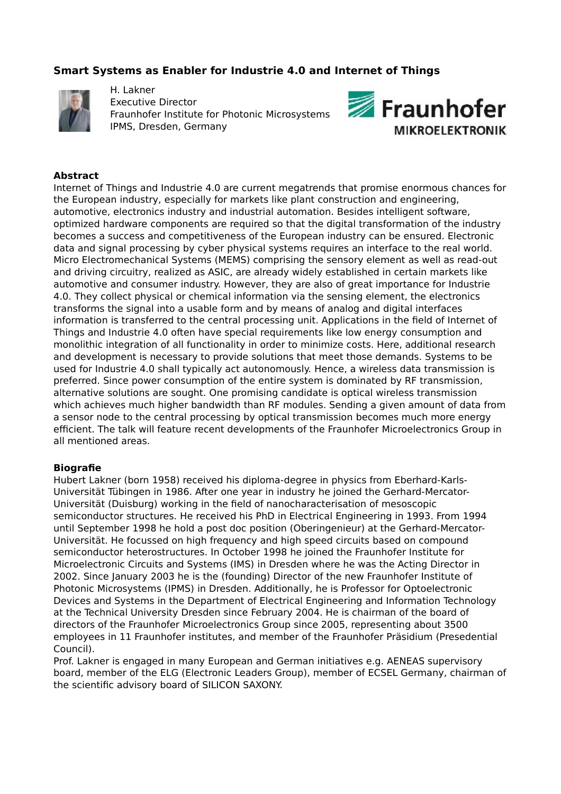# **Smart Systems as Enabler for Industrie 4.0 and Internet of Things**



H. Lakner Executive Director Fraunhofer Institute for Photonic Microsystems IPMS, Dresden, Germany



### **Abstract**

Internet of Things and Industrie 4.0 are current megatrends that promise enormous chances for the European industry, especially for markets like plant construction and engineering, automotive, electronics industry and industrial automation. Besides intelligent software, optimized hardware components are required so that the digital transformation of the industry becomes a success and competitiveness of the European industry can be ensured. Electronic data and signal processing by cyber physical systems requires an interface to the real world. Micro Electromechanical Systems (MEMS) comprising the sensory element as well as read-out and driving circuitry, realized as ASIC, are already widely established in certain markets like automotive and consumer industry. However, they are also of great importance for Industrie 4.0. They collect physical or chemical information via the sensing element, the electronics transforms the signal into a usable form and by means of analog and digital interfaces information is transferred to the central processing unit. Applications in the field of Internet of Things and Industrie 4.0 often have special requirements like low energy consumption and monolithic integration of all functionality in order to minimize costs. Here, additional research and development is necessary to provide solutions that meet those demands. Systems to be used for Industrie 4.0 shall typically act autonomously. Hence, a wireless data transmission is preferred. Since power consumption of the entire system is dominated by RF transmission, alternative solutions are sought. One promising candidate is optical wireless transmission which achieves much higher bandwidth than RF modules. Sending a given amount of data from a sensor node to the central processing by optical transmission becomes much more energy efficient. The talk will feature recent developments of the Fraunhofer Microelectronics Group in all mentioned areas.

#### **Biografie**

Hubert Lakner (born 1958) received his diploma-degree in physics from Eberhard-Karls-Universität Tübingen in 1986. After one year in industry he joined the Gerhard-Mercator-Universität (Duisburg) working in the field of nanocharacterisation of mesoscopic semiconductor structures. He received his PhD in Electrical Engineering in 1993. From 1994 until September 1998 he hold a post doc position (Oberingenieur) at the Gerhard-Mercator-Universität. He focussed on high frequency and high speed circuits based on compound semiconductor heterostructures. In October 1998 he joined the Fraunhofer Institute for Microelectronic Circuits and Systems (IMS) in Dresden where he was the Acting Director in 2002. Since January 2003 he is the (founding) Director of the new Fraunhofer Institute of Photonic Microsystems (IPMS) in Dresden. Additionally, he is Professor for Optoelectronic Devices and Systems in the Department of Electrical Engineering and Information Technology at the Technical University Dresden since February 2004. He is chairman of the board of directors of the Fraunhofer Microelectronics Group since 2005, representing about 3500 employees in 11 Fraunhofer institutes, and member of the Fraunhofer Präsidium (Presedential Council).

Prof. Lakner is engaged in many European and German initiatives e.g. AENEAS supervisory board, member of the ELG (Electronic Leaders Group), member of ECSEL Germany, chairman of the scientific advisory board of SILICON SAXONY.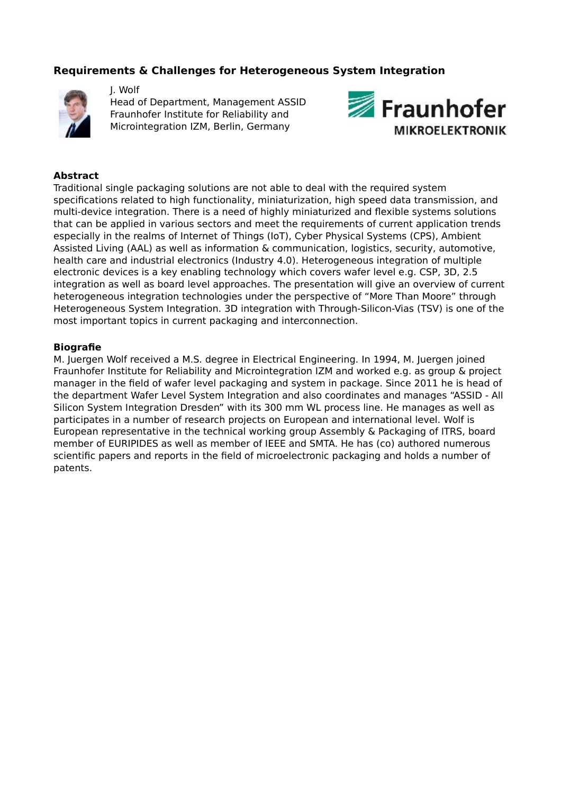## **Requirements & Challenges for Heterogeneous System Integration**



J. Wolf Head of Department, Management ASSID Fraunhofer Institute for Reliability and Microintegration IZM, Berlin, Germany



## **Abstract**

Traditional single packaging solutions are not able to deal with the required system specifications related to high functionality, miniaturization, high speed data transmission, and multi-device integration. There is a need of highly miniaturized and flexible systems solutions that can be applied in various sectors and meet the requirements of current application trends especially in the realms of Internet of Things (IoT), Cyber Physical Systems (CPS), Ambient Assisted Living (AAL) as well as information & communication, logistics, security, automotive, health care and industrial electronics (Industry 4.0). Heterogeneous integration of multiple electronic devices is a key enabling technology which covers wafer level e.g. CSP, 3D, 2.5 integration as well as board level approaches. The presentation will give an overview of current heterogeneous integration technologies under the perspective of "More Than Moore" through Heterogeneous System Integration. 3D integration with Through-Silicon-Vias (TSV) is one of the most important topics in current packaging and interconnection.

#### **Biografie**

M. Juergen Wolf received a M.S. degree in Electrical Engineering. In 1994, M. Juergen joined Fraunhofer Institute for Reliability and Microintegration IZM and worked e.g. as group & project manager in the field of wafer level packaging and system in package. Since 2011 he is head of the department Wafer Level System Integration and also coordinates and manages "ASSID - All Silicon System Integration Dresden" with its 300 mm WL process line. He manages as well as participates in a number of research projects on European and international level. Wolf is European representative in the technical working group Assembly & Packaging of ITRS, board member of EURIPIDES as well as member of IEEE and SMTA. He has (co) authored numerous scientific papers and reports in the field of microelectronic packaging and holds a number of patents.